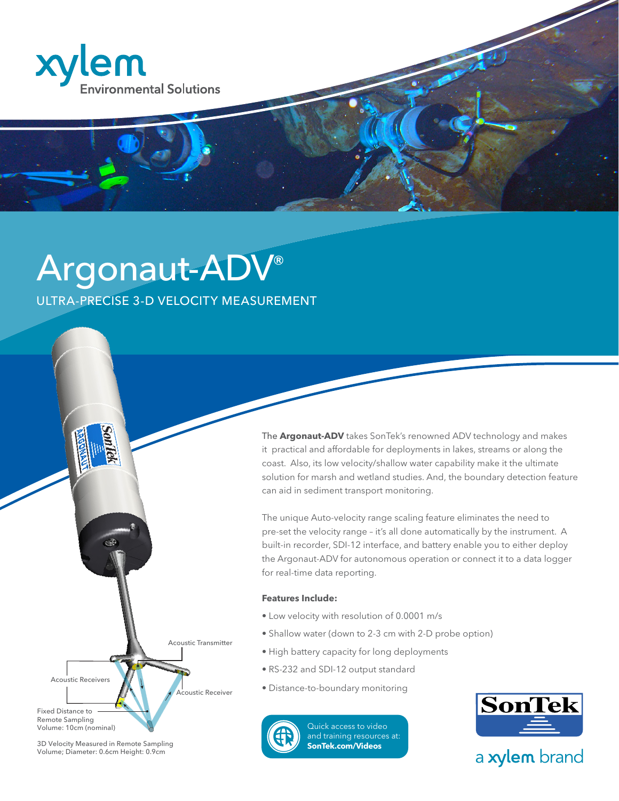

# Argonaut-ADV® ULTRA-PRECISE 3-D VELOCITY MEASUREMENT

The **Argonaut-ADV** takes SonTek's renowned ADV technology and makes it practical and affordable for deployments in lakes, streams or along the coast. Also, its low velocity/shallow water capability make it the ultimate solution for marsh and wetland studies. And, the boundary detection feature can aid in sediment transport monitoring.

The unique Auto-velocity range scaling feature eliminates the need to pre-set the velocity range – it's all done automatically by the instrument. A built-in recorder, SDI-12 interface, and battery enable you to either deploy the Argonaut-ADV for autonomous operation or connect it to a data logger for real-time data reporting.

#### **Features Include:**

- Low velocity with resolution of 0.0001 m/s
- Shallow water (down to 2-3 cm with 2-D probe option)
- High battery capacity for long deployments
- RS-232 and SDI-12 output standard
- Distance-to-boundary monitoring



Acoustic Receiver

Acoustic Transmitter

Quick access to video [and training resources at:](http://www.sontek.com/videos) **SonTek.com/Videos**



# a xylem brand

3D Velocity Measured in Remote Sampling Volume; Diameter: 0.6cm Height: 0.9cm

Acoustic Receivers

Fixed Distance to Remote Sampling Volume: 10cm (nominal)